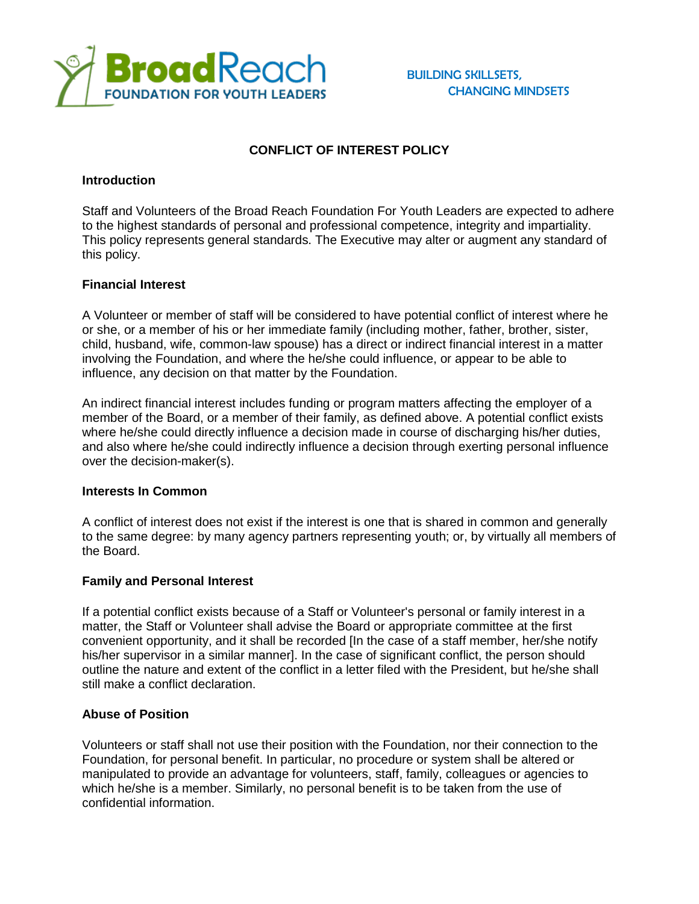

# **CONFLICT OF INTEREST POLICY**

#### **Introduction**

Staff and Volunteers of the Broad Reach Foundation For Youth Leaders are expected to adhere to the highest standards of personal and professional competence, integrity and impartiality. This policy represents general standards. The Executive may alter or augment any standard of this policy.

## **Financial Interest**

A Volunteer or member of staff will be considered to have potential conflict of interest where he or she, or a member of his or her immediate family (including mother, father, brother, sister, child, husband, wife, common-law spouse) has a direct or indirect financial interest in a matter involving the Foundation, and where the he/she could influence, or appear to be able to influence, any decision on that matter by the Foundation.

An indirect financial interest includes funding or program matters affecting the employer of a member of the Board, or a member of their family, as defined above. A potential conflict exists where he/she could directly influence a decision made in course of discharging his/her duties, and also where he/she could indirectly influence a decision through exerting personal influence over the decision-maker(s).

#### **Interests In Common**

A conflict of interest does not exist if the interest is one that is shared in common and generally to the same degree: by many agency partners representing youth; or, by virtually all members of the Board.

#### **Family and Personal Interest**

If a potential conflict exists because of a Staff or Volunteer's personal or family interest in a matter, the Staff or Volunteer shall advise the Board or appropriate committee at the first convenient opportunity, and it shall be recorded [In the case of a staff member, her/she notify his/her supervisor in a similar manner]. In the case of significant conflict, the person should outline the nature and extent of the conflict in a letter filed with the President, but he/she shall still make a conflict declaration.

## **Abuse of Position**

Volunteers or staff shall not use their position with the Foundation, nor their connection to the Foundation, for personal benefit. In particular, no procedure or system shall be altered or manipulated to provide an advantage for volunteers, staff, family, colleagues or agencies to which he/she is a member. Similarly, no personal benefit is to be taken from the use of confidential information.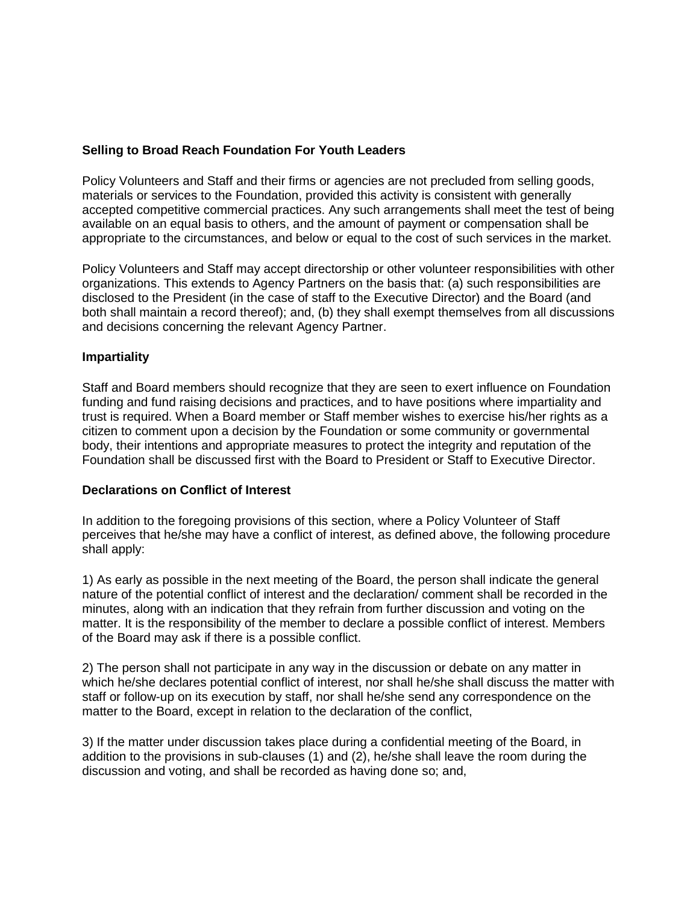## **Selling to Broad Reach Foundation For Youth Leaders**

Policy Volunteers and Staff and their firms or agencies are not precluded from selling goods, materials or services to the Foundation, provided this activity is consistent with generally accepted competitive commercial practices. Any such arrangements shall meet the test of being available on an equal basis to others, and the amount of payment or compensation shall be appropriate to the circumstances, and below or equal to the cost of such services in the market.

Policy Volunteers and Staff may accept directorship or other volunteer responsibilities with other organizations. This extends to Agency Partners on the basis that: (a) such responsibilities are disclosed to the President (in the case of staff to the Executive Director) and the Board (and both shall maintain a record thereof); and, (b) they shall exempt themselves from all discussions and decisions concerning the relevant Agency Partner.

## **Impartiality**

Staff and Board members should recognize that they are seen to exert influence on Foundation funding and fund raising decisions and practices, and to have positions where impartiality and trust is required. When a Board member or Staff member wishes to exercise his/her rights as a citizen to comment upon a decision by the Foundation or some community or governmental body, their intentions and appropriate measures to protect the integrity and reputation of the Foundation shall be discussed first with the Board to President or Staff to Executive Director.

#### **Declarations on Conflict of Interest**

In addition to the foregoing provisions of this section, where a Policy Volunteer of Staff perceives that he/she may have a conflict of interest, as defined above, the following procedure shall apply:

1) As early as possible in the next meeting of the Board, the person shall indicate the general nature of the potential conflict of interest and the declaration/ comment shall be recorded in the minutes, along with an indication that they refrain from further discussion and voting on the matter. It is the responsibility of the member to declare a possible conflict of interest. Members of the Board may ask if there is a possible conflict.

2) The person shall not participate in any way in the discussion or debate on any matter in which he/she declares potential conflict of interest, nor shall he/she shall discuss the matter with staff or follow-up on its execution by staff, nor shall he/she send any correspondence on the matter to the Board, except in relation to the declaration of the conflict,

3) If the matter under discussion takes place during a confidential meeting of the Board, in addition to the provisions in sub-clauses (1) and (2), he/she shall leave the room during the discussion and voting, and shall be recorded as having done so; and,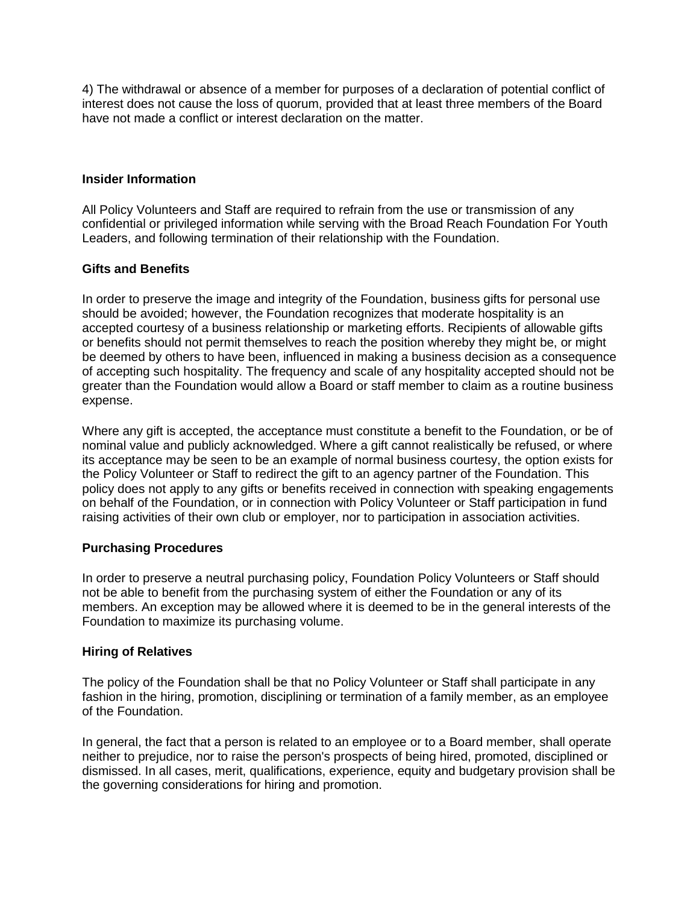4) The withdrawal or absence of a member for purposes of a declaration of potential conflict of interest does not cause the loss of quorum, provided that at least three members of the Board have not made a conflict or interest declaration on the matter.

## **Insider Information**

All Policy Volunteers and Staff are required to refrain from the use or transmission of any confidential or privileged information while serving with the Broad Reach Foundation For Youth Leaders, and following termination of their relationship with the Foundation.

## **Gifts and Benefits**

In order to preserve the image and integrity of the Foundation, business gifts for personal use should be avoided; however, the Foundation recognizes that moderate hospitality is an accepted courtesy of a business relationship or marketing efforts. Recipients of allowable gifts or benefits should not permit themselves to reach the position whereby they might be, or might be deemed by others to have been, influenced in making a business decision as a consequence of accepting such hospitality. The frequency and scale of any hospitality accepted should not be greater than the Foundation would allow a Board or staff member to claim as a routine business expense.

Where any gift is accepted, the acceptance must constitute a benefit to the Foundation, or be of nominal value and publicly acknowledged. Where a gift cannot realistically be refused, or where its acceptance may be seen to be an example of normal business courtesy, the option exists for the Policy Volunteer or Staff to redirect the gift to an agency partner of the Foundation. This policy does not apply to any gifts or benefits received in connection with speaking engagements on behalf of the Foundation, or in connection with Policy Volunteer or Staff participation in fund raising activities of their own club or employer, nor to participation in association activities.

#### **Purchasing Procedures**

In order to preserve a neutral purchasing policy, Foundation Policy Volunteers or Staff should not be able to benefit from the purchasing system of either the Foundation or any of its members. An exception may be allowed where it is deemed to be in the general interests of the Foundation to maximize its purchasing volume.

#### **Hiring of Relatives**

The policy of the Foundation shall be that no Policy Volunteer or Staff shall participate in any fashion in the hiring, promotion, disciplining or termination of a family member, as an employee of the Foundation.

In general, the fact that a person is related to an employee or to a Board member, shall operate neither to prejudice, nor to raise the person's prospects of being hired, promoted, disciplined or dismissed. In all cases, merit, qualifications, experience, equity and budgetary provision shall be the governing considerations for hiring and promotion.